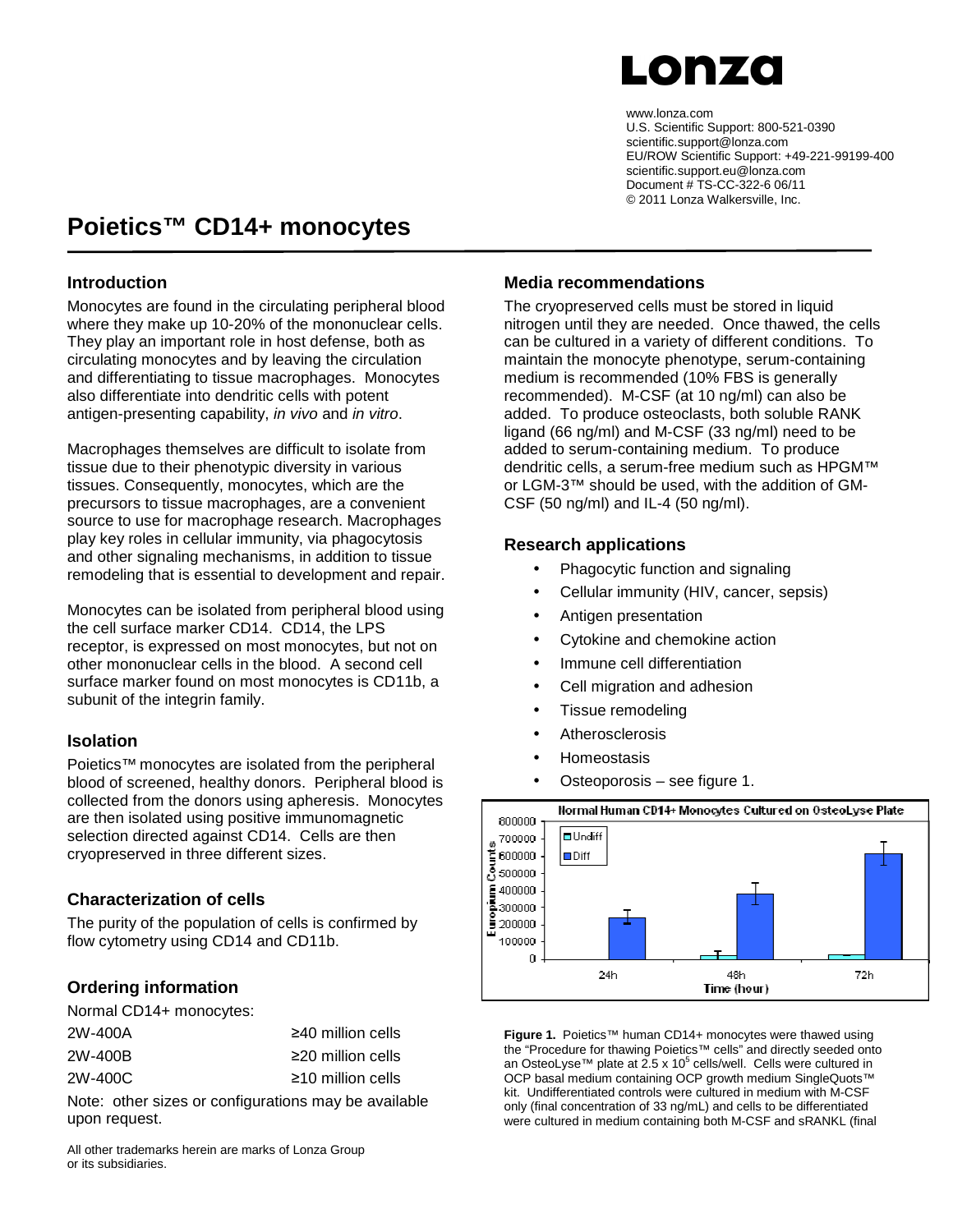## LONZO

www.lonza.com U.S. Scientific Support: 800-521-0390 scientific.support@lonza.com EU/ROW Scientific Support: +49-221-99199-400 scientific.support.eu@lonza.com Document # TS-CC-322-6 06/11 © 2011 Lonza Walkersville, Inc.

### **Poietics™ CD14+ monocytes**

#### **Introduction**

Monocytes are found in the circulating peripheral blood where they make up 10-20% of the mononuclear cells. They play an important role in host defense, both as circulating monocytes and by leaving the circulation and differentiating to tissue macrophages. Monocytes also differentiate into dendritic cells with potent antigen-presenting capability, in vivo and in vitro.

Macrophages themselves are difficult to isolate from tissue due to their phenotypic diversity in various tissues. Consequently, monocytes, which are the precursors to tissue macrophages, are a convenient source to use for macrophage research. Macrophages play key roles in cellular immunity, via phagocytosis and other signaling mechanisms, in addition to tissue remodeling that is essential to development and repair.

Monocytes can be isolated from peripheral blood using the cell surface marker CD14. CD14, the LPS receptor, is expressed on most monocytes, but not on other mononuclear cells in the blood. A second cell surface marker found on most monocytes is CD11b, a subunit of the integrin family.

#### **Isolation**

Poietics™ monocytes are isolated from the peripheral blood of screened, healthy donors. Peripheral blood is collected from the donors using apheresis. Monocytes are then isolated using positive immunomagnetic selection directed against CD14. Cells are then cryopreserved in three different sizes.

#### **Characterization of cells**

The purity of the population of cells is confirmed by flow cytometry using CD14 and CD11b.

### **Ordering information**

Normal CD14+ monocytes:

| 2W-400A |  | $\geq$ 40 million cells |  |
|---------|--|-------------------------|--|
| 2W-400B |  | $\geq$ 20 million cells |  |
| 2W-400C |  | $\geq$ 10 million cells |  |
|         |  |                         |  |

Note: other sizes or configurations may be available upon request.

All other trademarks herein are marks of Lonza Group or its subsidiaries.

#### **Media recommendations**

The cryopreserved cells must be stored in liquid nitrogen until they are needed. Once thawed, the cells can be cultured in a variety of different conditions. To maintain the monocyte phenotype, serum-containing medium is recommended (10% FBS is generally recommended). M-CSF (at 10 ng/ml) can also be added. To produce osteoclasts, both soluble RANK ligand (66 ng/ml) and M-CSF (33 ng/ml) need to be added to serum-containing medium. To produce dendritic cells, a serum-free medium such as HPGM™ or LGM-3™ should be used, with the addition of GM-CSF (50 ng/ml) and IL-4 (50 ng/ml).

#### **Research applications**

- Phagocytic function and signaling
- Cellular immunity (HIV, cancer, sepsis)
- Antigen presentation
- Cytokine and chemokine action
- Immune cell differentiation
- Cell migration and adhesion
- Tissue remodeling
- Atherosclerosis
- Homeostasis
- Osteoporosis see figure 1.



**Figure 1.** Poietics™ human CD14+ monocytes were thawed using the "Procedure for thawing Poietics™ cells" and directly seeded onto an OsteoLyse™ plate at 2.5 x 10<sup>5</sup> cells/well. Cells were cultured in OCP basal medium containing OCP growth medium SingleQuots™ kit. Undifferentiated controls were cultured in medium with M-CSF only (final concentration of 33 ng/mL) and cells to be differentiated were cultured in medium containing both M-CSF and sRANKL (final